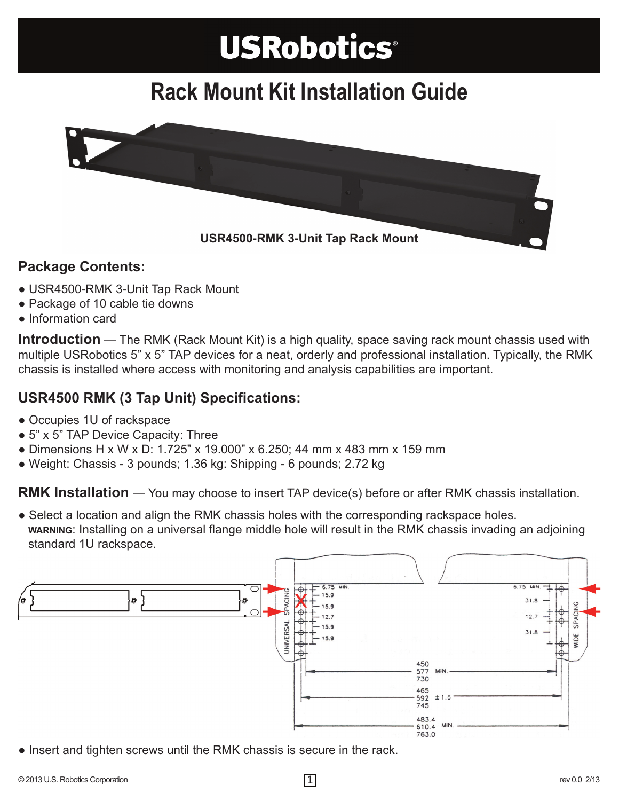# **USRobotics®**

## **Rack Mount Kit Installation Guide**



### **Package Contents:**

- USR4500-RMK 3-Unit Tap Rack Mount
- Package of 10 cable tie downs
- Information card

**Introduction** — The RMK (Rack Mount Kit) is a high quality, space saving rack mount chassis used with multiple USRobotics 5" x 5" TAP devices for a neat, orderly and professional installation. Typically, the RMK chassis is installed where access with monitoring and analysis capabilities are important.

### **USR4500 RMK (3 Tap Unit) Specifications:**

- Occupies 1U of rackspace
- 5" x 5" TAP Device Capacity: Three
- Dimensions H x W x D: 1.725" x 19.000" x 6.250; 44 mm x 483 mm x 159 mm
- Weight: Chassis 3 pounds; 1.36 kg: Shipping 6 pounds; 2.72 kg

**RMK Installation** — You may choose to insert TAP device(s) before or after RMK chassis installation.

● Select a location and align the RMK chassis holes with the corresponding rackspace holes. **WARNING**: Installing on a universal flange middle hole will result in the RMK chassis invading an adjoining standard 1U rackspace.



● Insert and tighten screws until the RMK chassis is secure in the rack.